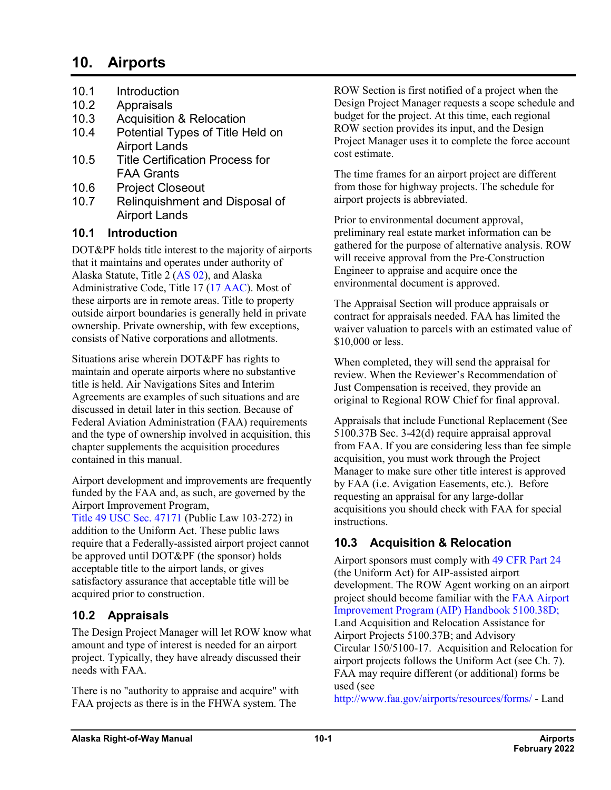# **10. Airports**

- 10.1 Introduction
- 10.2 Appraisals
- 10.3 Acquisition & Relocation
- 10.4 Potential Types of Title Held on Airport Lands
- 10.5 Title Certification Process for FAA Grants
- 10.6 Project Closeout
- 10.7 Relinquishment and Disposal of Airport Lands

### **10.1 Introduction**

DOT&PF holds title interest to the majority of airports that it maintains and operates under authority of Alaska Statute, Title 2 [\(AS](http://www.akleg.gov/basis/statutes.asp#02) 02), and Alaska Administrative Code, Title 17 (17 [AAC\)](http://www.akleg.gov/basis/aac.asp#17). Most of these airports are in remote areas. Title to property outside airport boundaries is generally held in private ownership. Private ownership, with few exceptions, consists of Native corporations and allotments.

Situations arise wherein DOT&PF has rights to maintain and operate airports where no substantive title is held. Air Navigations Sites and Interim Agreements are examples of such situations and are discussed in detail later in this section. Because of Federal Aviation Administration (FAA) requirements and the type of ownership involved in acquisition, this chapter supplements the acquisition procedures contained in this manual.

Airport development and improvements are frequently funded by the FAA and, as such, are governed by the Airport Improvement Program,

Title 49 USC Sec. [47171](http://uscode.house.gov/view.xhtml?req=(title:49%20section:47171%20edition:prelim)%20OR%20(granuleid:USC-prelim-title49-section47171)&f=treesort&edition=prelim&num=0&jumpTo=true) (Public Law 103-272) in addition to the Uniform Act. These public laws require that a Federally-assisted airport project cannot be approved until DOT&PF (the sponsor) holds acceptable title to the airport lands, or gives satisfactory assurance that acceptable title will be acquired prior to construction.

# **10.2 Appraisals**

The Design Project Manager will let ROW know what amount and type of interest is needed for an airport project. Typically, they have already discussed their needs with FAA.

There is no "authority to appraise and acquire" with FAA projects as there is in the FHWA system. The

ROW Section is first notified of a project when the Design Project Manager requests a scope schedule and budget for the project. At this time, each regional ROW section provides its input, and the Design Project Manager uses it to complete the force account cost estimate.

The time frames for an airport project are different from those for highway projects. The schedule for airport projects is abbreviated.

Prior to environmental document approval, preliminary real estate market information can be gathered for the purpose of alternative analysis. ROW will receive approval from the Pre-Construction Engineer to appraise and acquire once the environmental document is approved.

The Appraisal Section will produce appraisals or contract for appraisals needed. FAA has limited the waiver valuation to parcels with an estimated value of \$10,000 or less.

When completed, they will send the appraisal for review. When the Reviewer's Recommendation of Just Compensation is received, they provide an original to Regional ROW Chief for final approval.

Appraisals that include Functional Replacement (See 5100.37B Sec. 3-42(d) require appraisal approval from FAA. If you are considering less than fee simple acquisition, you must work through the Project Manager to make sure other title interest is approved by FAA (i.e. Avigation Easements, etc.). Before requesting an appraisal for any large-dollar acquisitions you should check with FAA for special instructions.

# **10.3 Acquisition & Relocation**

Airport sponsors must comply with 49 [CFR](https://www.ecfr.gov/cgi-bin/text-idx?SID=d2dcd0fdc871adf1e64e025dfd6a6a13&mc=true&tpl=/ecfrbrowse/Title49/49cfr24_main_02.tpl) Part 24 (the Uniform Act) for AIP-assisted airport development. The ROW Agent working on an airport project should become familiar with the [FAA Airport](http://www.faa.gov/airports/aip/aip_handbook/)  [Improvement Program \(AIP\) Handbook](http://www.faa.gov/airports/aip/aip_handbook/) 5100.38D; Land Acquisition and Relocation Assistance for Airport Projects 5100.37B; and Advisory Circular 150/5100-17. Acquisition and Relocation for airport projects follows the Uniform Act (see Ch. 7). FAA may require different (or additional) forms be used (see

<http://www.faa.gov/airports/resources/forms/> - Land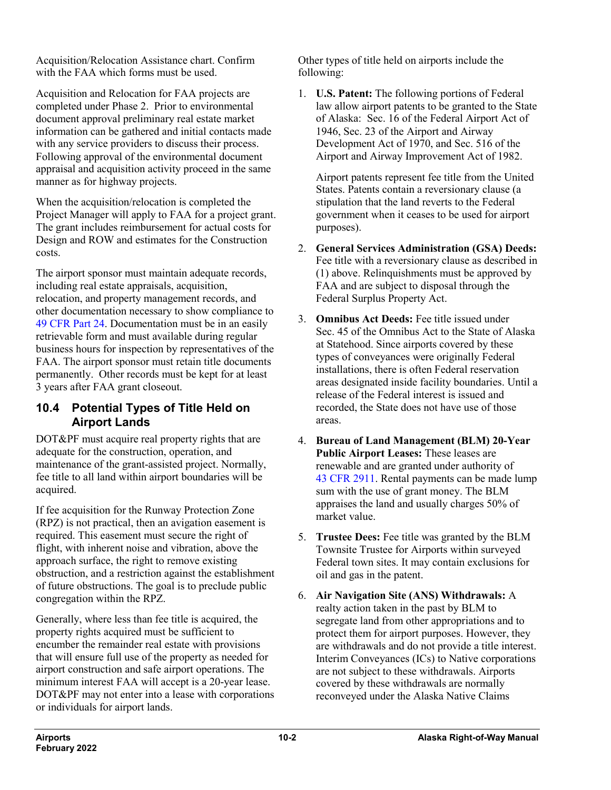Acquisition/Relocation Assistance chart. Confirm with the FAA which forms must be used.

Acquisition and Relocation for FAA projects are completed under Phase 2. Prior to environmental document approval preliminary real estate market information can be gathered and initial contacts made with any service providers to discuss their process. Following approval of the environmental document appraisal and acquisition activity proceed in the same manner as for highway projects.

When the acquisition/relocation is completed the Project Manager will apply to FAA for a project grant. The grant includes reimbursement for actual costs for Design and ROW and estimates for the Construction costs.

The airport sponsor must maintain adequate records, including real estate appraisals, acquisition, relocation, and property management records, and other documentation necessary to show compliance to 49 [CFR](https://www.ecfr.gov/cgi-bin/text-idx?SID=d2dcd0fdc871adf1e64e025dfd6a6a13&mc=true&tpl=/ecfrbrowse/Title49/49cfr24_main_02.tpl) Part 24. Documentation must be in an easily retrievable form and must available during regular business hours for inspection by representatives of the FAA. The airport sponsor must retain title documents permanently. Other records must be kept for at least 3 years after FAA grant closeout.

### **10.4 Potential Types of Title Held on Airport Lands**

DOT&PF must acquire real property rights that are adequate for the construction, operation, and maintenance of the grant-assisted project. Normally, fee title to all land within airport boundaries will be acquired.

If fee acquisition for the Runway Protection Zone (RPZ) is not practical, then an avigation easement is required. This easement must secure the right of flight, with inherent noise and vibration, above the approach surface, the right to remove existing obstruction, and a restriction against the establishment of future obstructions. The goal is to preclude public congregation within the RPZ.

Generally, where less than fee title is acquired, the property rights acquired must be sufficient to encumber the remainder real estate with provisions that will ensure full use of the property as needed for airport construction and safe airport operations. The minimum interest FAA will accept is a 20-year lease. DOT&PF may not enter into a lease with corporations or individuals for airport lands.

Other types of title held on airports include the following:

1. **U.S. Patent:** The following portions of Federal law allow airport patents to be granted to the State of Alaska: Sec. 16 of the Federal Airport Act of 1946, Sec. 23 of the Airport and Airway Development Act of 1970, and Sec. 516 of the Airport and Airway Improvement Act of 1982.

Airport patents represent fee title from the United States. Patents contain a reversionary clause (a stipulation that the land reverts to the Federal government when it ceases to be used for airport purposes).

- 2. **General Services Administration (GSA) Deeds:** Fee title with a reversionary clause as described in (1) above. Relinquishments must be approved by FAA and are subject to disposal through the Federal Surplus Property Act.
- 3. **Omnibus Act Deeds:** Fee title issued under Sec. 45 of the Omnibus Act to the State of Alaska at Statehood. Since airports covered by these types of conveyances were originally Federal installations, there is often Federal reservation areas designated inside facility boundaries. Until a release of the Federal interest is issued and recorded, the State does not have use of those areas.
- 4. **Bureau of Land Management (BLM) 20-Year Public Airport Leases:** These leases are renewable and are granted under authority of 43 CFR [2911.](https://www.ecfr.gov/cgi-bin/text-idx?SID=132554b9a9e1b59b119680ab90dead44&mc=true&node=pt43.2.2910&rgn=div5#sp43.2.2910.2911) Rental payments can be made lump sum with the use of grant money. The BLM appraises the land and usually charges 50% of market value.
- 5. **Trustee Dees:** Fee title was granted by the BLM Townsite Trustee for Airports within surveyed Federal town sites. It may contain exclusions for oil and gas in the patent.
- 6. **Air Navigation Site (ANS) Withdrawals:** A realty action taken in the past by BLM to segregate land from other appropriations and to protect them for airport purposes. However, they are withdrawals and do not provide a title interest. Interim Conveyances (ICs) to Native corporations are not subject to these withdrawals. Airports covered by these withdrawals are normally reconveyed under the Alaska Native Claims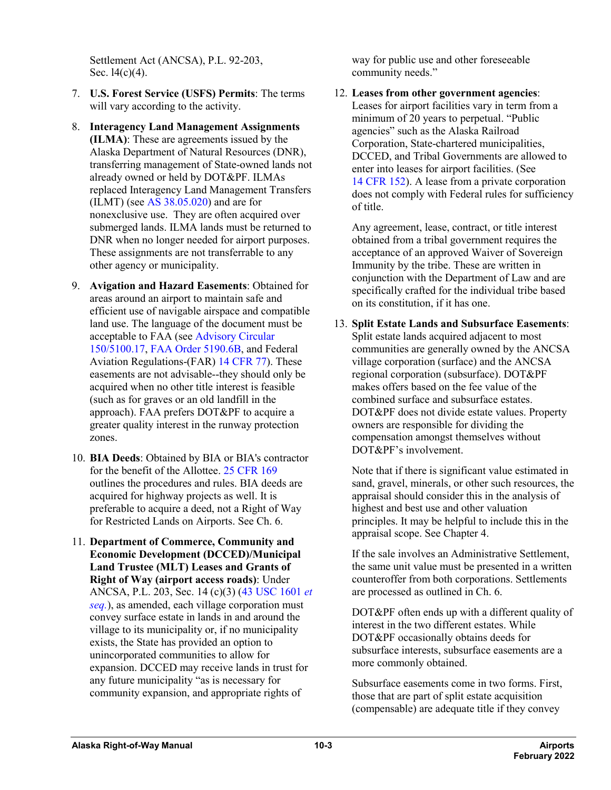Settlement Act (ANCSA), P.L. 92-203, Sec. 14(c)(4).

- 7. **U.S. Forest Service (USFS) Permits**: The terms will vary according to the activity.
- 8. **Interagency Land Management Assignments (ILMA)**: These are agreements issued by the Alaska Department of Natural Resources (DNR), transferring management of State-owned lands not already owned or held by DOT&PF. ILMAs replaced Interagency Land Management Transfers  $(ILMT)$  (see AS  $38.05.020$ ) and are for nonexclusive use. They are often acquired over submerged lands. ILMA lands must be returned to DNR when no longer needed for airport purposes. These assignments are not transferrable to any other agency or municipality.
- 9. **Avigation and Hazard Easements**: Obtained for areas around an airport to maintain safe and efficient use of navigable airspace and compatible land use. The language of the document must be acceptable to FAA (se[e Advisory](http://www.faa.gov/airports/resources/advisory_circulars/index.cfm/go/document.information/documentNumber/150_5100-17) Circular [150/5100.17,](http://www.faa.gov/airports/resources/advisory_circulars/index.cfm/go/document.information/documentNumber/150_5100-17) [FAA Order](http://www.faa.gov/documentLibrary/media/Order/5190_6b.pdf) 5190.6B, and Federal Aviation Regulations-(FAR) 14 [CFR](http://www.ecfr.gov/cgi-bin/text-idx?rgn=div5&node=14:2.0.1.2.9#sp14.2.77.a) 77). These easements are not advisable--they should only be acquired when no other title interest is feasible (such as for graves or an old landfill in the approach). FAA prefers DOT&PF to acquire a greater quality interest in the runway protection zones.
- 10. **BIA Deeds**: Obtained by BIA or BIA's contractor for the benefit of the Allottee. 25 [CFR](https://www.ecfr.gov/cgi-bin/text-idx?SID=95b07444b9e19cf39ba072a5e48105d4&mc=true&node=pt25.1.169&rgn=div5) 169 outlines the procedures and rules. BIA deeds are acquired for highway projects as well. It is preferable to acquire a deed, not a Right of Way for Restricted Lands on Airports. See Ch. 6.
- 11. **Department of Commerce, Community and Economic Development (DCCED)/Municipal Land Trustee (MLT) Leases and Grants of Right of Way (airport access roads)**: Under ANCSA, P.L. 203, Sec. 14 (c)(3) (43 USC [1601](http://uscode.house.gov/view.xhtml?path=/prelim@title43/chapter33&edition=prelim) *et [seq.](http://uscode.house.gov/view.xhtml?path=/prelim@title43/chapter33&edition=prelim)*), as amended, each village corporation must convey surface estate in lands in and around the village to its municipality or, if no municipality exists, the State has provided an option to unincorporated communities to allow for expansion. DCCED may receive lands in trust for any future municipality "as is necessary for community expansion, and appropriate rights of

way for public use and other foreseeable community needs."

12. **Leases from other government agencies**: Leases for airport facilities vary in term from a minimum of 20 years to perpetual. "Public agencies" such as the Alaska Railroad Corporation, State-chartered municipalities, DCCED, and Tribal Governments are allowed to enter into leases for airport facilities. (See 14 [CFR](https://www.ecfr.gov/cgi-bin/text-idx?SID=132554b9a9e1b59b119680ab90dead44&mc=true&node=pt14.3.152&rgn=div5) 152). A lease from a private corporation does not comply with Federal rules for sufficiency of title.

Any agreement, lease, contract, or title interest obtained from a tribal government requires the acceptance of an approved Waiver of Sovereign Immunity by the tribe. These are written in conjunction with the Department of Law and are specifically crafted for the individual tribe based on its constitution, if it has one.

13. **Split Estate Lands and Subsurface Easements**: Split estate lands acquired adjacent to most communities are generally owned by the ANCSA village corporation (surface) and the ANCSA regional corporation (subsurface). DOT&PF makes offers based on the fee value of the combined surface and subsurface estates. DOT&PF does not divide estate values. Property owners are responsible for dividing the compensation amongst themselves without DOT&PF's involvement.

Note that if there is significant value estimated in sand, gravel, minerals, or other such resources, the appraisal should consider this in the analysis of highest and best use and other valuation principles. It may be helpful to include this in the appraisal scope. See Chapter 4.

If the sale involves an Administrative Settlement, the same unit value must be presented in a written counteroffer from both corporations. Settlements are processed as outlined in Ch. 6.

DOT&PF often ends up with a different quality of interest in the two different estates. While DOT&PF occasionally obtains deeds for subsurface interests, subsurface easements are a more commonly obtained.

Subsurface easements come in two forms. First, those that are part of split estate acquisition (compensable) are adequate title if they convey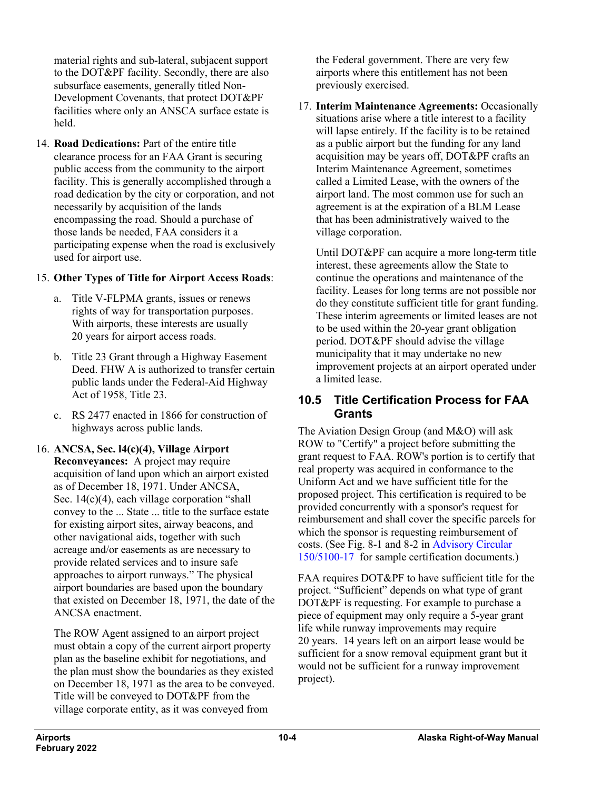material rights and sub-lateral, subjacent support to the DOT&PF facility. Secondly, there are also subsurface easements, generally titled Non-Development Covenants, that protect DOT&PF facilities where only an ANSCA surface estate is held.

14. **Road Dedications:** Part of the entire title clearance process for an FAA Grant is securing public access from the community to the airport facility. This is generally accomplished through a road dedication by the city or corporation, and not necessarily by acquisition of the lands encompassing the road. Should a purchase of those lands be needed, FAA considers it a participating expense when the road is exclusively used for airport use.

#### 15. **Other Types of Title for Airport Access Roads**:

- a. Title V-FLPMA grants, issues or renews rights of way for transportation purposes. With airports, these interests are usually 20 years for airport access roads.
- b. Title 23 Grant through a Highway Easement Deed. FHW A is authorized to transfer certain public lands under the Federal-Aid Highway Act of 1958, Title 23.
- c. RS 2477 enacted in 1866 for construction of highways across public lands.

#### 16. **ANCSA, Sec. l4(c)(4), Village Airport Reconveyances:** A project may require

acquisition of land upon which an airport existed as of December 18, 1971. Under ANCSA, Sec. 14(c)(4), each village corporation "shall convey to the ... State ... title to the surface estate for existing airport sites, airway beacons, and other navigational aids, together with such acreage and/or easements as are necessary to provide related services and to insure safe approaches to airport runways." The physical airport boundaries are based upon the boundary that existed on December 18, 1971, the date of the ANCSA enactment.

The ROW Agent assigned to an airport project must obtain a copy of the current airport property plan as the baseline exhibit for negotiations, and the plan must show the boundaries as they existed on December 18, 1971 as the area to be conveyed. Title will be conveyed to DOT&PF from the village corporate entity, as it was conveyed from

the Federal government. There are very few airports where this entitlement has not been previously exercised.

17. **Interim Maintenance Agreements:** Occasionally situations arise where a title interest to a facility will lapse entirely. If the facility is to be retained as a public airport but the funding for any land acquisition may be years off, DOT&PF crafts an Interim Maintenance Agreement, sometimes called a Limited Lease, with the owners of the airport land. The most common use for such an agreement is at the expiration of a BLM Lease that has been administratively waived to the village corporation.

Until DOT&PF can acquire a more long-term title interest, these agreements allow the State to continue the operations and maintenance of the facility. Leases for long terms are not possible nor do they constitute sufficient title for grant funding. These interim agreements or limited leases are not to be used within the 20-year grant obligation period. DOT&PF should advise the village municipality that it may undertake no new improvement projects at an airport operated under a limited lease.

### **10.5 Title Certification Process for FAA Grants**

The Aviation Design Group (and M&O) will ask ROW to "Certify" a project before submitting the grant request to FAA. ROW's portion is to certify that real property was acquired in conformance to the Uniform Act and we have sufficient title for the proposed project. This certification is required to be provided concurrently with a sponsor's request for reimbursement and shall cover the specific parcels for which the sponsor is requesting reimbursement of costs. (See Fig. 8-1 and 8-2 in [Advisory Circular](http://www.faa.gov/documentLibrary/media/advisory_circular/150-5100-17/150_5100_17_chg6.pdf)  [150/5100-17](http://www.faa.gov/documentLibrary/media/advisory_circular/150-5100-17/150_5100_17_chg6.pdf) for sample certification documents.)

FAA requires DOT&PF to have sufficient title for the project. "Sufficient" depends on what type of grant DOT&PF is requesting. For example to purchase a piece of equipment may only require a 5-year grant life while runway improvements may require 20 years. 14 years left on an airport lease would be sufficient for a snow removal equipment grant but it would not be sufficient for a runway improvement project).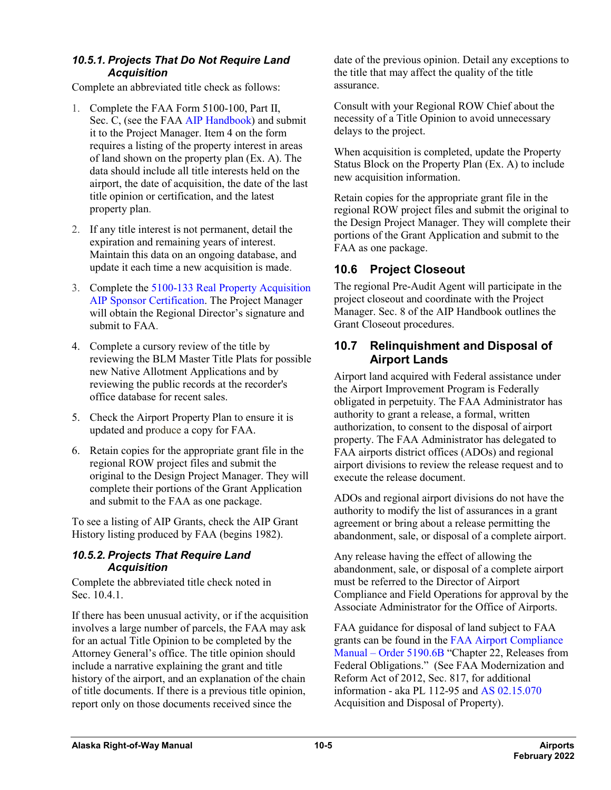#### *10.5.1. Projects That Do Not Require Land Acquisition*

Complete an abbreviated title check as follows:

- 1. Complete the FAA Form 5100-100, Part II, Sec. C, (see the FA[A AIP Handbook\)](http://www.faa.gov/airports/aip/aip_handbook/) and submit it to the Project Manager. Item 4 on the form requires a listing of the property interest in areas of land shown on the property plan (Ex. A). The data should include all title interests held on the airport, the date of acquisition, the date of the last title opinion or certification, and the latest property plan.
- 2. If any title interest is not permanent, detail the expiration and remaining years of interest. Maintain this data on an ongoing database, and update it each time a new acquisition is made.
- 3. Complete the 5100-133 Real Property Acquisition AIP Sponsor Certification. The Project Manager will obtain the Regional Director's signature and submit to FAA.
- 4. Complete a cursory review of the title by reviewing the BLM Master Title Plats for possible new Native Allotment Applications and by reviewing the public records at the recorder's office database for recent sales.
- 5. Check the Airport Property Plan to ensure it is updated and produce a copy for FAA.
- 6. Retain copies for the appropriate grant file in the regional ROW project files and submit the original to the Design Project Manager. They will complete their portions of the Grant Application and submit to the FAA as one package.

To see a listing of AIP Grants, check the AIP Grant History listing produced by FAA (begins 1982).

#### *10.5.2. Projects That Require Land Acquisition*

Complete the abbreviated title check noted in Sec. 10.4.1.

If there has been unusual activity, or if the acquisition involves a large number of parcels, the FAA may ask for an actual Title Opinion to be completed by the Attorney General's office. The title opinion should include a narrative explaining the grant and title history of the airport, and an explanation of the chain of title documents. If there is a previous title opinion, report only on those documents received since the

date of the previous opinion. Detail any exceptions to the title that may affect the quality of the title assurance.

Consult with your Regional ROW Chief about the necessity of a Title Opinion to avoid unnecessary delays to the project.

When acquisition is completed, update the Property Status Block on the Property Plan (Ex. A) to include new acquisition information.

Retain copies for the appropriate grant file in the regional ROW project files and submit the original to the Design Project Manager. They will complete their portions of the Grant Application and submit to the FAA as one package.

## **10.6 Project Closeout**

The regional Pre-Audit Agent will participate in the project closeout and coordinate with the Project Manager. Sec. 8 of the AIP Handbook outlines the Grant Closeout procedures.

#### **10.7 Relinquishment and Disposal of Airport Lands**

Airport land acquired with Federal assistance under the Airport Improvement Program is Federally obligated in perpetuity. The FAA Administrator has authority to grant a release, a formal, written authorization, to consent to the disposal of airport property. The FAA Administrator has delegated to FAA airports district offices (ADOs) and regional airport divisions to review the release request and to execute the release document.

ADOs and regional airport divisions do not have the authority to modify the list of assurances in a grant agreement or bring about a release permitting the abandonment, sale, or disposal of a complete airport.

Any release having the effect of allowing the abandonment, sale, or disposal of a complete airport must be referred to the Director of Airport Compliance and Field Operations for approval by the Associate Administrator for the Office of Airports.

FAA guidance for disposal of land subject to FAA grants can be found in the [FAA Airport Compliance](http://www.faa.gov/airports/resources/publications/orders/compliance_5190_6/)  Manual – Order [5190.6B](http://www.faa.gov/airports/resources/publications/orders/compliance_5190_6/) "Chapter 22, Releases from Federal Obligations." (See FAA Modernization and Reform Act of 2012, Sec. 817, for additional information - aka PL 112-95 and AS [02.15.070](http://www.akleg.gov/basis/statutes.asp#02.15.070) Acquisition and Disposal of Property).